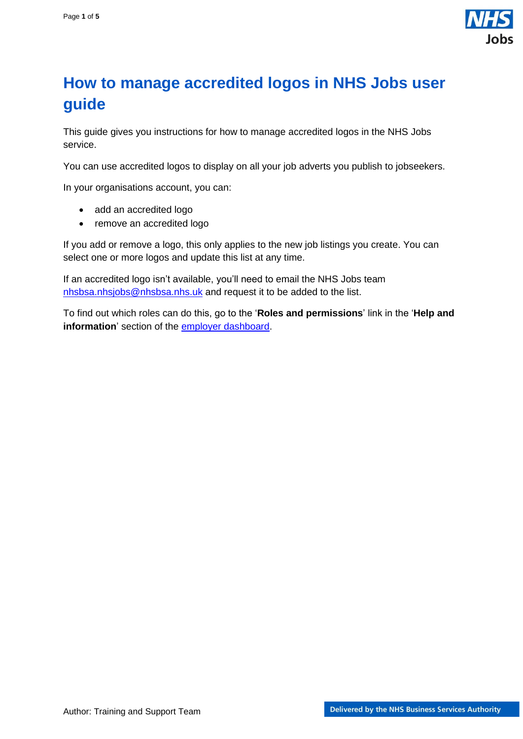

## <span id="page-0-0"></span>**How to manage accredited logos in NHS Jobs user guide**

This guide gives you instructions for how to manage accredited logos in the NHS Jobs service.

You can use accredited logos to display on all your job adverts you publish to jobseekers.

In your organisations account, you can:

- add an accredited logo
- remove an accredited logo

If you add or remove a logo, this only applies to the new job listings you create. You can select one or more logos and update this list at any time.

If an accredited logo isn't available, you'll need to email the NHS Jobs team [nhsbsa.nhsjobs@nhsbsa.nhs.uk](mailto:nhsbsa.nhsjobs@nhsbsa.nhs.uk) and request it to be added to the list.

To find out which roles can do this, go to the '**Roles and permissions**' link in the '**Help and information**' section of the [employer dashboard.](https://beta.jobs.nhs.uk/home)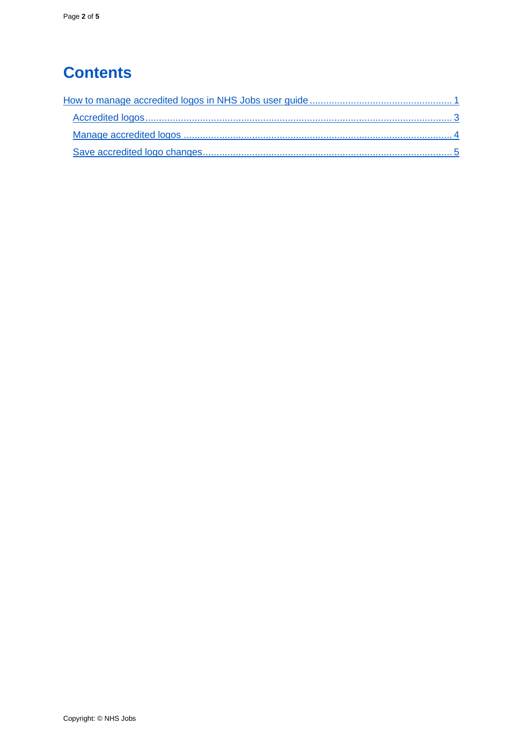# **Contents**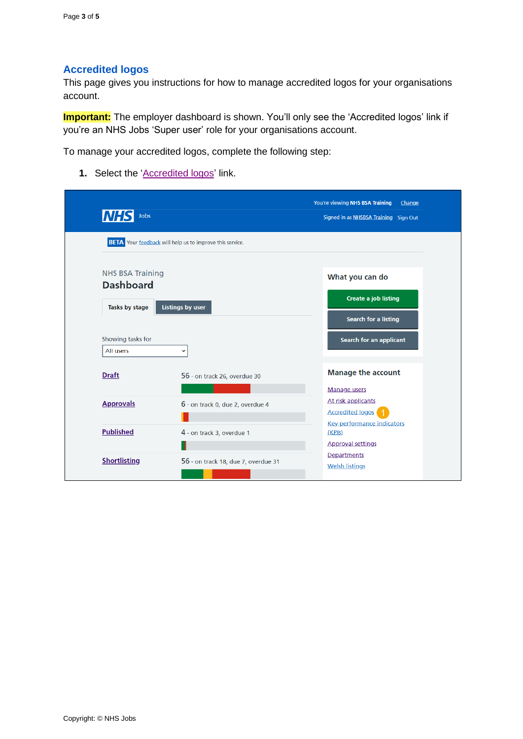### <span id="page-2-0"></span>**Accredited logos**

This page gives you instructions for how to manage accredited logos for your organisations account.

**Important:** The employer dashboard is shown. You'll only see the 'Accredited logos' link if you're an NHS Jobs 'Super user' role for your organisations account.

To manage your accredited logos, complete the following step:

1. Select the ['Accredited logos'](#page-3-0) link.

| <b>NHS</b><br><b>Jobs</b>          |                                                                 | You're viewing NHS BSA Training<br>Change<br>Signed in as NHSBSA Training Sign Out |  |
|------------------------------------|-----------------------------------------------------------------|------------------------------------------------------------------------------------|--|
|                                    | <b>BETA</b> Your feedback will help us to improve this service. |                                                                                    |  |
| <b>NHS BSA Training</b>            |                                                                 | What you can do                                                                    |  |
| <b>Dashboard</b><br>Tasks by stage | <b>Listings by user</b>                                         | <b>Create a job listing</b>                                                        |  |
| Showing tasks for<br>All users     | $\checkmark$                                                    | <b>Search for a listing</b><br><b>Search for an applicant</b>                      |  |
| <b>Draft</b>                       | 56 - on track 26, overdue 30                                    | <b>Manage the account</b>                                                          |  |
| <b>Approvals</b>                   | 6 - on track 0, due 2, overdue 4                                | Manage users<br>At risk applicants<br><b>Accredited logos</b>                      |  |
| <b>Published</b>                   | 4 - on track 3, overdue 1                                       | <b>Key performance indicators</b><br>(KPIS)<br><b>Approval settings</b>            |  |
| <b>Shortlisting</b>                | 56 - on track 18, due 7, overdue 31                             | Departments<br><b>Welsh listings</b>                                               |  |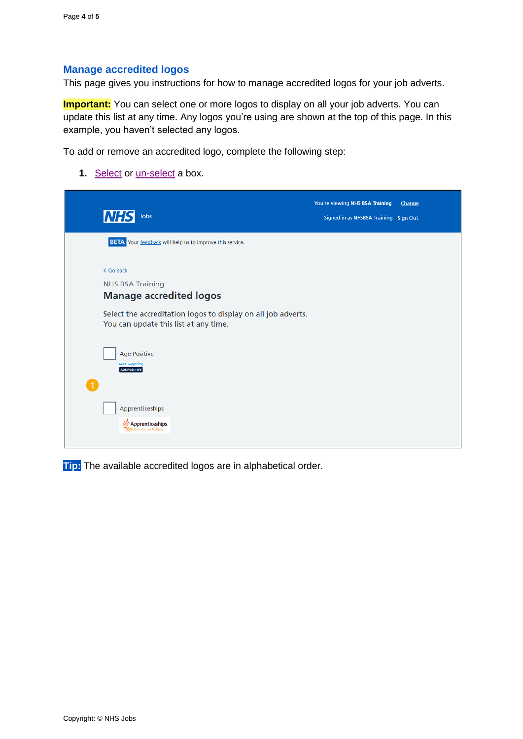#### <span id="page-3-0"></span>**Manage accredited logos**

This page gives you instructions for how to manage accredited logos for your job adverts.

**Important:** You can select one or more logos to display on all your job adverts. You can update this list at any time. Any logos you're using are shown at the top of this page. In this example, you haven't selected any logos.

To add or remove an accredited logo, complete the following step:

**1.** [Select](#page-4-0) or <u>un-select</u> a box.

| <b>INHS</b><br><b>Jobs</b>                                                                             | You're viewing NHS BSA Training<br>Signed in as NHSBSA Training Sign Out | Change |
|--------------------------------------------------------------------------------------------------------|--------------------------------------------------------------------------|--------|
| <b>BETA</b> Your feedback will help us to improve this service.                                        |                                                                          |        |
| < Go back<br><b>NHS BSA Training</b><br><b>Manage accredited logos</b>                                 |                                                                          |        |
| Select the accreditation logos to display on all job adverts.<br>You can update this list at any time. |                                                                          |        |
| <b>Age Positive</b><br>we're supporting<br>AGE POSI+IVE                                                |                                                                          |        |
| Apprenticeships<br>Apprenticeships<br><b>Good for our Business</b>                                     |                                                                          |        |

**Tip:** The available accredited logos are in alphabetical order.